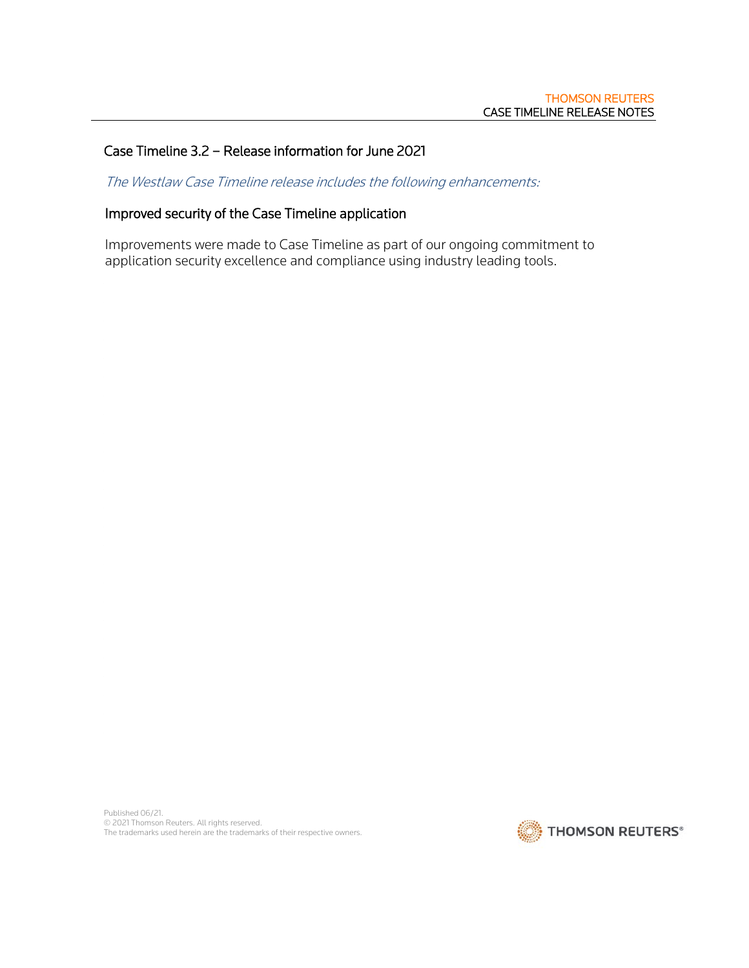## Case Timeline 3.2 – Release information for June 2021

The Westlaw Case Timeline release includes the following enhancements:

# Improved security of the Case Timeline application

Improvements were made to Case Timeline as part of our ongoing commitment to application security excellence and compliance using industry leading tools.

Published 06/21. © 2021 Thomson Reuters. All rights reserved. The trademarks used herein are the trademarks of their respective owners.

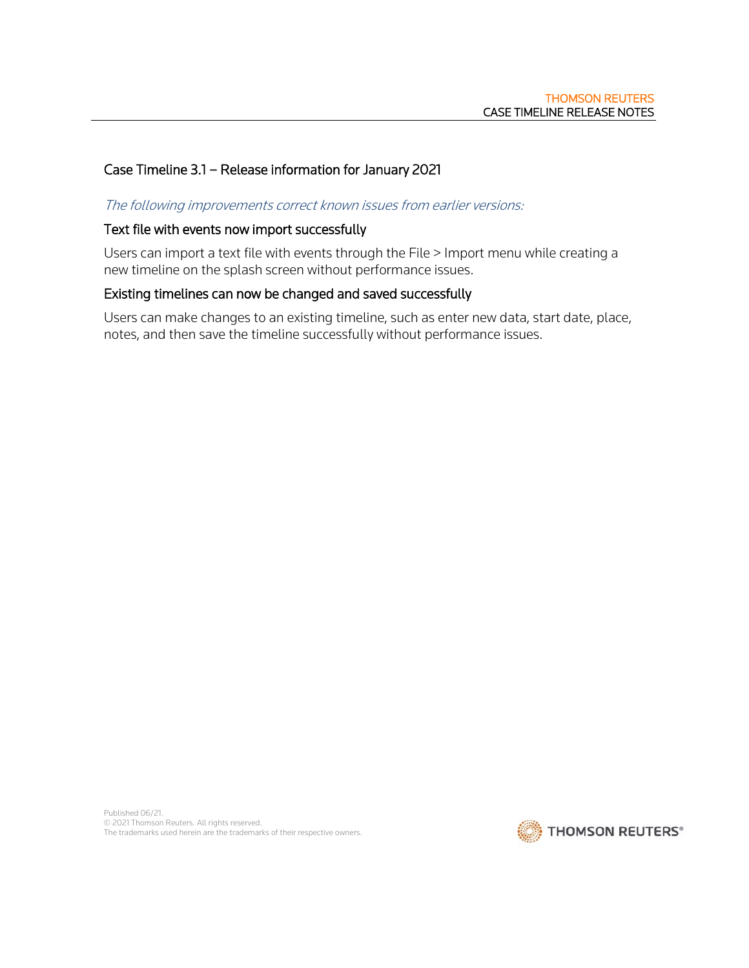# Case Timeline 3.1 – Release information for January 2021

#### The following improvements correct known issues from earlier versions:

#### Text file with events now import successfully

Users can import a text file with events through the File > Import menu while creating a new timeline on the splash screen without performance issues.

#### Existing timelines can now be changed and saved successfully

Users can make changes to an existing timeline, such as enter new data, start date, place, notes, and then save the timeline successfully without performance issues.

Published 06/21. © 2021 Thomson Reuters. All rights reserved. The trademarks used herein are the trademarks of their respective owners.

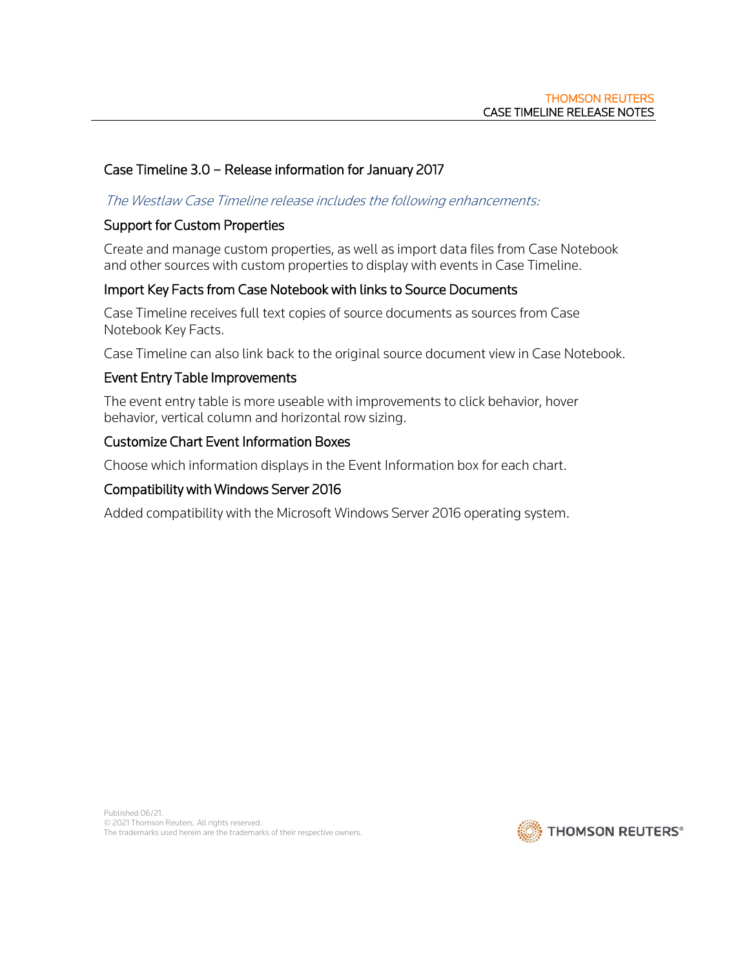# Case Timeline 3.0 – Release information for January 2017

## The Westlaw Case Timeline release includes the following enhancements:

## Support for Custom Properties

Create and manage custom properties, as well as import data files from Case Notebook and other sources with custom properties to display with events in Case Timeline.

# Import Key Facts from Case Notebook with links to Source Documents

Case Timeline receives full text copies of source documents as sources from Case Notebook Key Facts.

Case Timeline can also link back to the original source document view in Case Notebook.

## Event Entry Table Improvements

The event entry table is more useable with improvements to click behavior, hover behavior, vertical column and horizontal row sizing.

## Customize Chart Event Information Boxes

Choose which information displays in the Event Information box for each chart.

## Compatibility with Windows Server 2016

Added compatibility with the Microsoft Windows Server 2016 operating system.

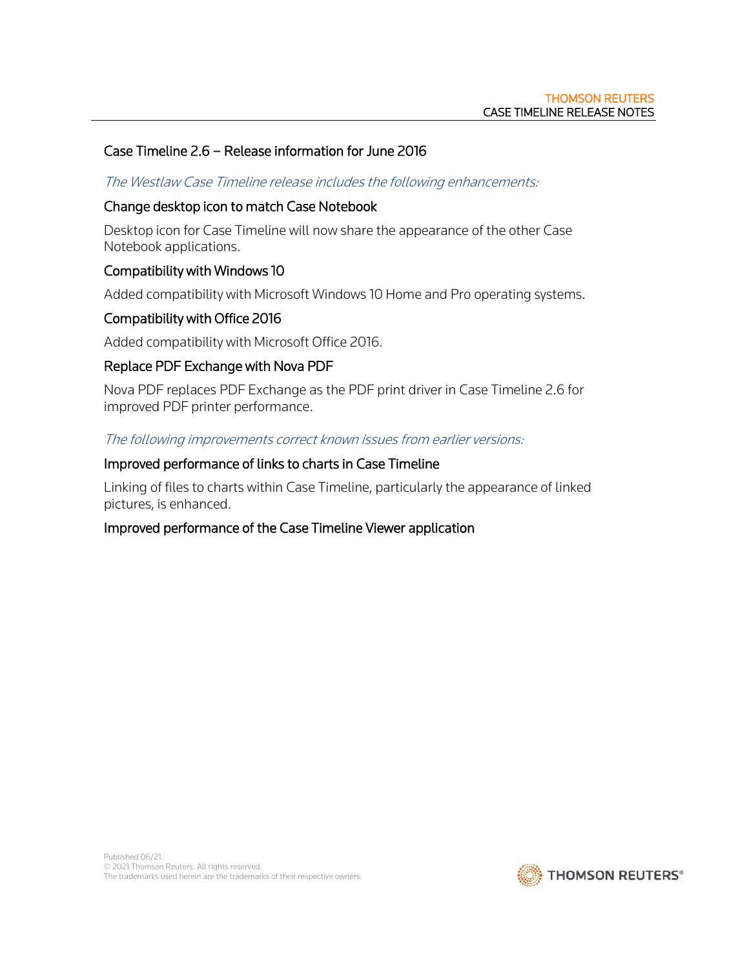## Case Timeline 2.6 – Release information for June 2016

#### The Westlaw Case Timeline release includes the following enhancements:

#### Change desktop icon to match Case Notebook

Desktop icon for Case Timeline will now share the appearance of the other Case Notebook applications.

## Compatibility with Windows 10

Added compatibility with Microsoft Windows 10 Home and Pro operating systems.

## Compatibility with Office 2016

Added compatibility with Microsoft Office 2016.

#### Replace PDF Exchange with Nova PDF

Nova PDF replaces PDF Exchange as the PDF print driver in Case Timeline 2.6 for improved PDF printer performance.

The following improvements correct known issues from earlier versions:

#### Improved performance of links to charts in Case Timeline

Linking of files to charts within Case Timeline, particularly the appearance of linked pictures, is enhanced.

#### Improved performance of the Case Timeline Viewer application

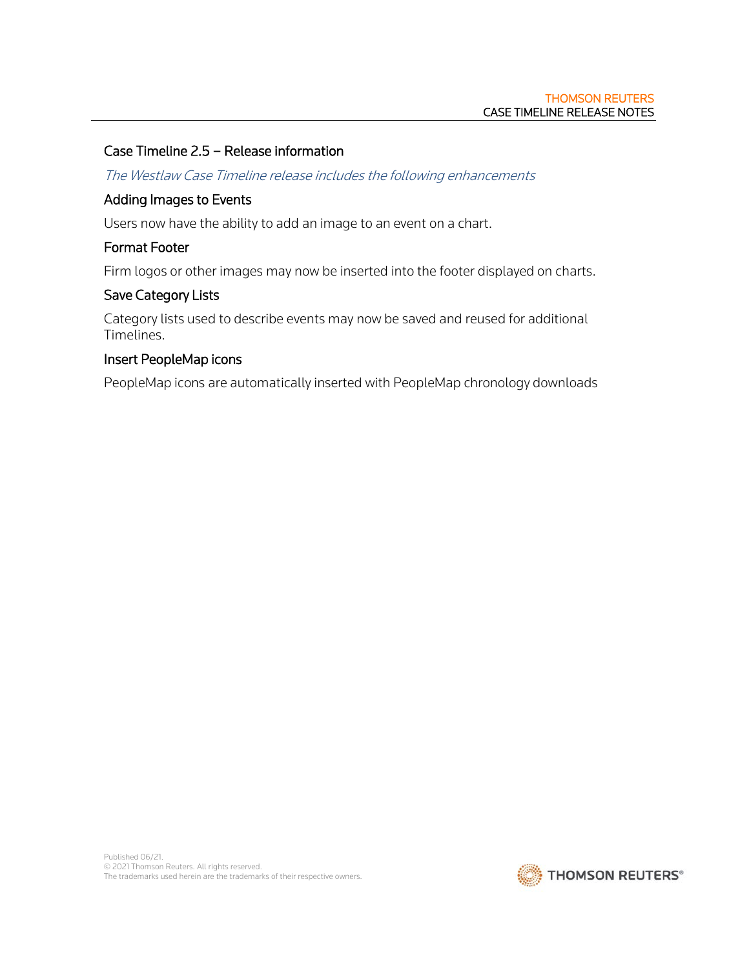# Case Timeline 2.5 – Release information

The Westlaw Case Timeline release includes the following enhancements

#### Adding Images to Events

Users now have the ability to add an image to an event on a chart.

#### Format Footer

Firm logos or other images may now be inserted into the footer displayed on charts.

#### Save Category Lists

Category lists used to describe events may now be saved and reused for additional Timelines.

#### Insert PeopleMap icons

PeopleMap icons are automatically inserted with PeopleMap chronology downloads

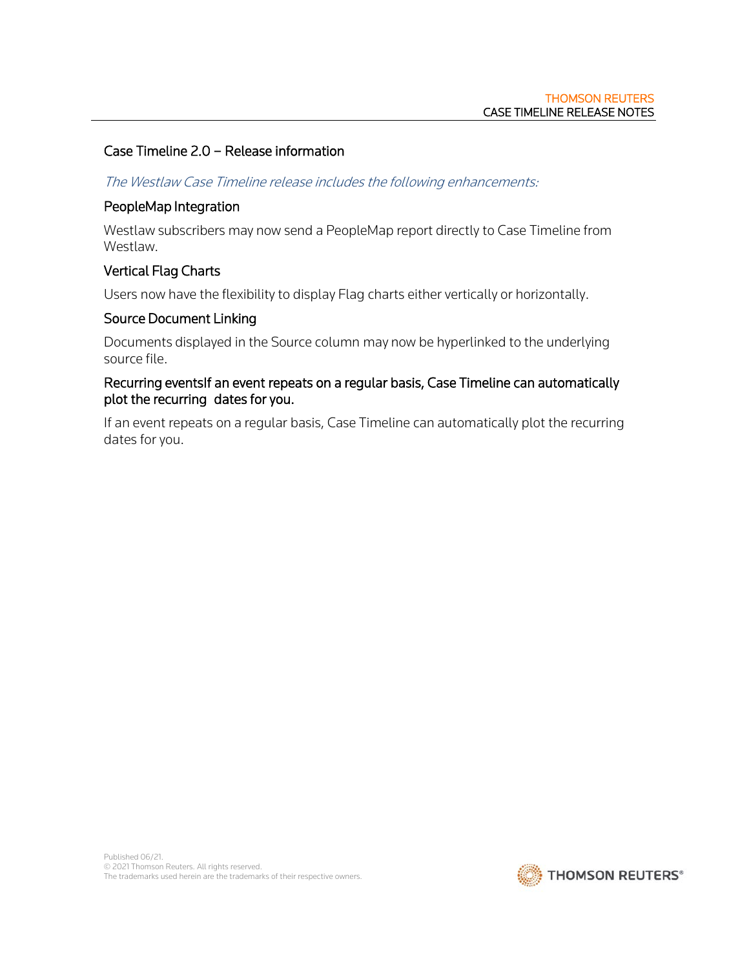# Case Timeline 2.0 – Release information

#### The Westlaw Case Timeline release includes the following enhancements:

#### PeopleMap Integration

Westlaw subscribers may now send a PeopleMap report directly to Case Timeline from Westlaw.

## Vertical Flag Charts

Users now have the flexibility to display Flag charts either vertically or horizontally.

### Source Document Linking

Documents displayed in the Source column may now be hyperlinked to the underlying source file.

## Recurring eventsIf an event repeats on a regular basis, Case Timeline can automatically plot the recurring dates for you.

If an event repeats on a regular basis, Case Timeline can automatically plot the recurring dates for you.